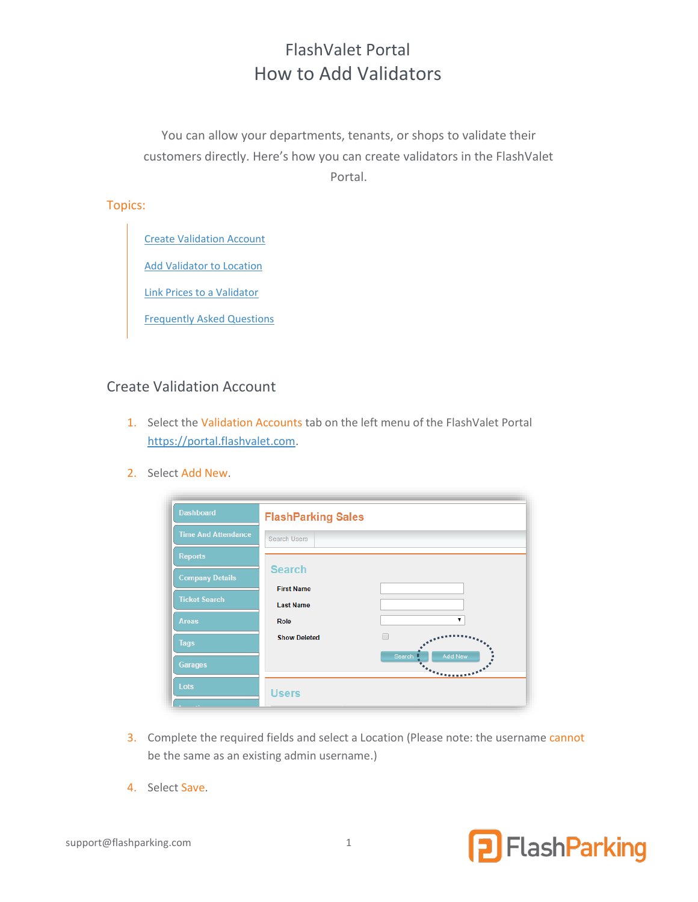# FlashValet Portal How to Add Validators

You can allow your departments, tenants, or shops to validate their customers directly. Here's how you can create validators in the FlashValet Portal.

#### Topics:

Create Validation Account

[Add](#page-1-0) Validator to Location

[Link Prices to a Validator](#page-1-1)

[Frequently Asked Questions](#page-2-0)

#### Create Validation Account

- 1. Select the Validation Accounts tab on the left menu of the FlashValet Portal [https://portal.flashvalet.com.](https://portal.flashvalet.com/)
- 2. Select Add New.

| <b>Dashboard</b>           | <b>FlashParking Sales</b>             |                                                                                                           |
|----------------------------|---------------------------------------|-----------------------------------------------------------------------------------------------------------|
| <b>Time And Attendance</b> | <b>Search Users</b>                   |                                                                                                           |
| <b>Reports</b>             |                                       |                                                                                                           |
| <b>Company Details</b>     | <b>Search</b>                         |                                                                                                           |
| <b>Ticket Search</b>       | <b>First Name</b><br><b>Last Name</b> |                                                                                                           |
| <b>Areas</b>               | Role                                  | ▼                                                                                                         |
| <b>Tags</b>                | <b>Show Deleted</b>                   |                                                                                                           |
| <b>Garages</b>             |                                       | Search<br>Add New<br>$\begin{array}{c} \bullet \\ \bullet \\ \bullet \end{array}$<br><b><i>TANNAH</i></b> |
| Lots                       | <b>Users</b>                          |                                                                                                           |

- 3. Complete the required fields and select a Location (Please note: the username cannot be the same as an existing admin username.)
- 4. Select Save.

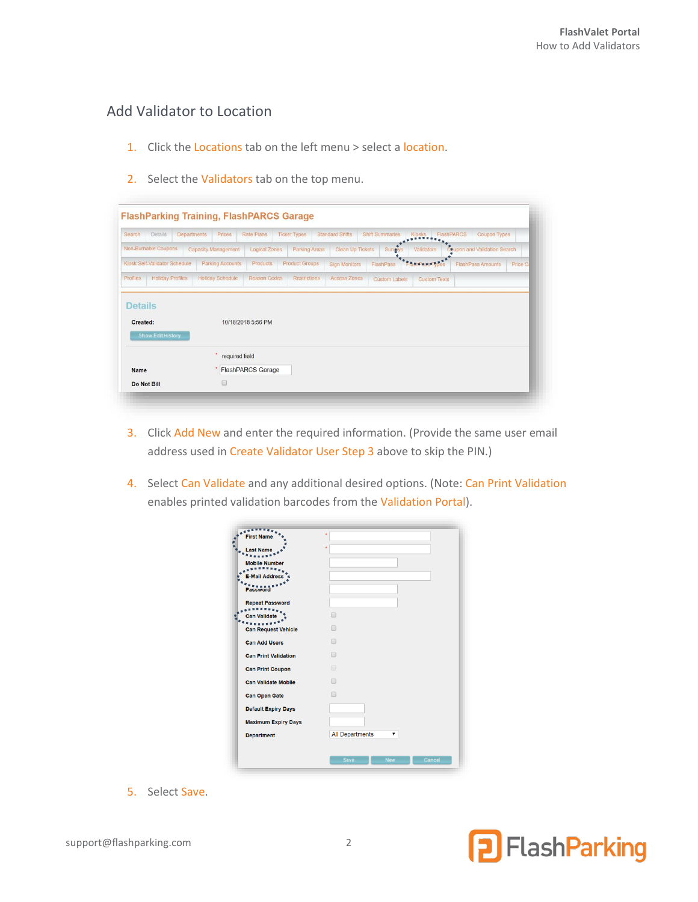## <span id="page-1-0"></span>Add Validator to Location

- 1. Click the Locations tab on the left menu > select a location.
- 2. Select the Validators tab on the top menu.

| Search<br>Details                   | <b>Departments</b><br>Prices | Rate Plans               | <b>Ticket Types</b>   | <b>Standard Shifts</b>  | <b>Shift Summaries</b> | Kiosks              | <b>Coupon Types</b><br><b>FlashPARCS</b> |          |
|-------------------------------------|------------------------------|--------------------------|-----------------------|-------------------------|------------------------|---------------------|------------------------------------------|----------|
| Non-Burnable Coupons                | <b>Capacity Management</b>   | Logical Zones            | <b>Parking Areas</b>  | <b>Clean Up Tickets</b> | Survey                 | Validators          | Coupon and Validation Search             |          |
| Klosk Self-Validator Schedule       | <b>Parking Accounts</b>      | Products                 | <b>Product Groups</b> | <b>Sign Monitors</b>    | FlashPass              |                     | <b>FlashPass Amounts</b>                 | Price C. |
| <b>Holiday Profiles</b><br>Profiles | <b>Holiday Schedule</b>      | <b>Reason Codes</b>      | Restrictions          | <b>Access Zones</b>     | Custom Labels          | <b>Custom Texts</b> |                                          |          |
| Created:                            |                              | 10/18/2018 5:56 PM       |                       |                         |                        |                     |                                          |          |
| Show Edit History                   |                              |                          |                       |                         |                        |                     |                                          |          |
|                                     | required field               |                          |                       |                         |                        |                     |                                          |          |
| <b>Name</b>                         |                              | <b>FlashPARCS Garage</b> |                       |                         |                        |                     |                                          |          |

- 3. Click Add New and enter the required information. (Provide the same user email address used in Create Validator User Step 3 above to skip the PIN.)
- 4. Select Can Validate and any additional desired options. (Note: Can Print Validation enables printed validation barcodes from the Validation Portal).

| rst Nan                     | ٠                                   |
|-----------------------------|-------------------------------------|
| <b>Last Name</b>            | ٠                                   |
| <b>Mobile Number</b>        |                                     |
| <b>E-Mail Address</b>       |                                     |
| <b>Password</b>             |                                     |
| <b>Repeat Password</b>      |                                     |
| <b>Can Validate</b>         | ⋒                                   |
| <b>Can Request Vehicle</b>  | ⋒                                   |
| <b>Can Add Users</b>        | ∩                                   |
| <b>Can Print Validation</b> | $\Box$                              |
| <b>Can Print Coupon</b>     | $\qquad \qquad \Box$                |
| <b>Can Validate Mobile</b>  | ⋒                                   |
| <b>Can Open Gate</b>        | ⋒                                   |
| <b>Default Expiry Days</b>  |                                     |
| <b>Maximum Expiry Days</b>  |                                     |
| <b>Department</b>           | <b>All Departments</b>              |
|                             |                                     |
|                             | <b>New</b><br>Cancel<br><b>Save</b> |

<span id="page-1-1"></span>5. Select Save.

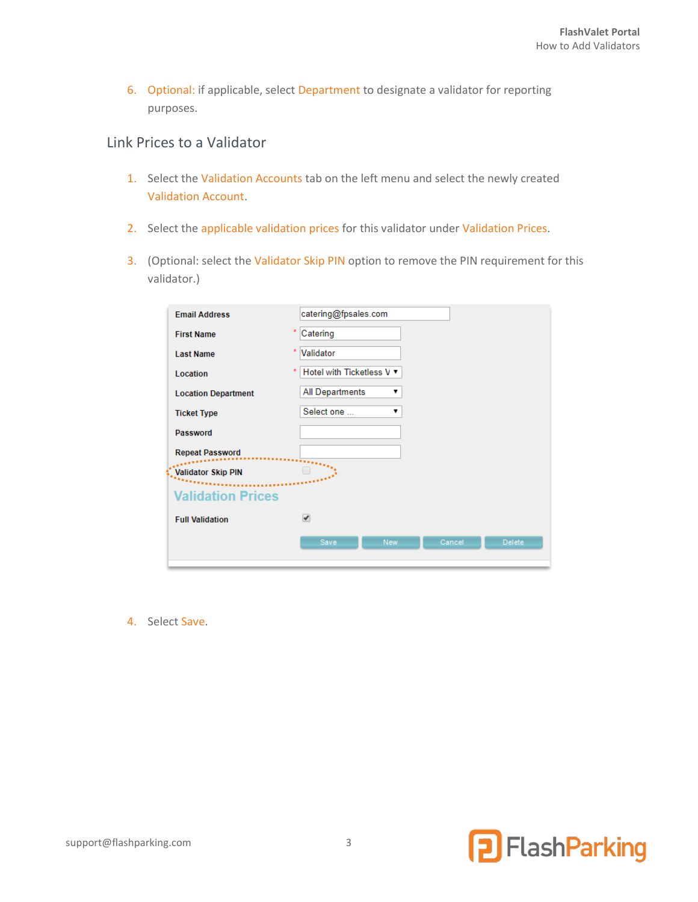6. Optional: if applicable, select Department to designate a validator for reporting purposes.

#### Link Prices to a Validator

- 1. Select the Validation Accounts tab on the left menu and select the newly created Validation Account.
- 2. Select the applicable validation prices for this validator under Validation Prices.
- 3. (Optional: select the Validator Skip PIN option to remove the PIN requirement for this validator.)

| <b>Email Address</b>       | catering@fpsales.com                          |
|----------------------------|-----------------------------------------------|
| <b>First Name</b>          | ×<br>Catering                                 |
| <b>Last Name</b>           | $\star$<br>Validator                          |
| Location                   | Hotel with Ticketless V ▼<br>×                |
| <b>Location Department</b> | <b>All Departments</b><br>▼                   |
| <b>Ticket Type</b>         | Select one<br>▼                               |
| Password                   |                                               |
| <b>Repeat Password</b>     |                                               |
| <b>Validator Skip PIN</b>  |                                               |
| <b>Validation Prices</b>   |                                               |
| <b>Full Validation</b>     | ᢦ                                             |
|                            | Save<br>Cancel<br><b>Delete</b><br><b>New</b> |

<span id="page-2-0"></span>4. Select Save.